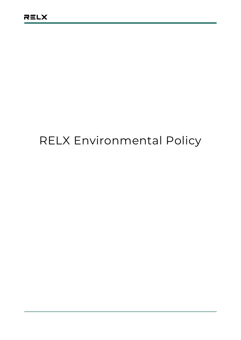## RELX Environmental Policy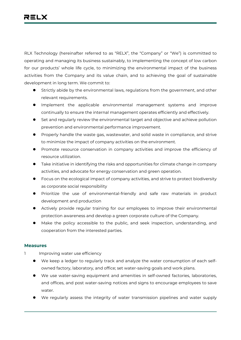RLX Technology (hereinafter referred to as "RELX", the "Company" or "We") is committed to operating and managing its business sustainably, to implementing the concept of low carbon for our products' whole life cycle, to minimizing the environmental impact of the business activities from the Company and its value chain, and to achieving the goal of sustainable development in long term. We commit to:

- Strictly abide by the environmental laws, regulations from the government, and other relevant requirements.
- Implement the applicable environmental management systems and improve continually to ensure the internal management operates efficiently and effectively.
- Set and regularly review the environmental target and objective and achieve pollution prevention and environmental performance improvement.
- Properly handle the waste gas, wastewater, and solid waste in compliance, and strive to minimize the impact of company activities on the environment.
- Promote resource conservation in company activities and improve the efficiency of resource utilization.
- Take initiative in identifying the risks and opportunities for climate change in company activities, and advocate for energy conservation and green operation.
- Focus on the ecological impact of company activities, and strive to protect biodiversity as corporate social responsibility
- Prioritize the use of environmental-friendly and safe raw materials in product development and production
- Actively provide regular training for our employees to improve their environmental protection awareness and develop a green corporate culture of the Company.
- Make the policy accessible to the public, and seek inspection, understanding, and cooperation from the interested parties.

## **Measures**

- 1 Improving water use efficiency
	- We keep a ledger to regularly track and analyze the water consumption of each selfowned factory, laboratory, and office; set water-saving goals and work plans.
	- We use water-saving equipment and amenities in self-owned factories, laboratories, and offices, and post water-saving notices and signs to encourage employees to save water
	- We regularly assess the integrity of water transmission pipelines and water supply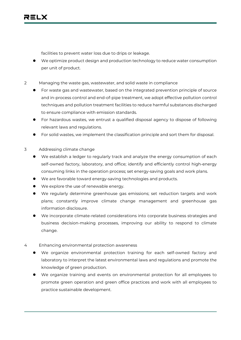facilities to prevent water loss due to drips or leakage.

- We optimize product design and production technology to reduce water consumption per unit of product.
- 2 Managing the waste gas, wastewater, and solid waste in compliance
	- For waste gas and wastewater, based on the integrated prevention principle of source and in-process control and end-of-pipe treatment, we adopt effective pollution control techniques and pollution treatment facilities to reduce harmful substances discharged to ensure compliance with emission standards.
	- For hazardous wastes, we entrust a qualified disposal agency to dispose of following relevant laws and regulations.
	- For solid wastes, we implement the classification principle and sort them for disposal.
- 3 Addressing climate change
	- We establish a ledger to regularly track and analyze the energy consumption of each self-owned factory, laboratory, and office; identify and efficiently control high-energy consuming links in the operation process; set energy-saving goals and work plans.
	- We are favorable toward energy-saving technologies and products.
	- We explore the use of renewable energy.
	- We regularly determine greenhouse gas emissions; set reduction targets and work plans; constantly improve climate change management and greenhouse gas information disclosure.
	- We incorporate climate-related considerations into corporate business strategies and business decision-making processes, improving our ability to respond to climate change.
- 4 Enhancing environmental protection awareness
	- We organize environmental protection training for each self-owned factory and laboratory to interpret the latest environmental laws and regulations and promote the knowledge of green production.
	- We organize training and events on environmental protection for all employees to promote green operation and green office practices and work with all employees to practice sustainable development.